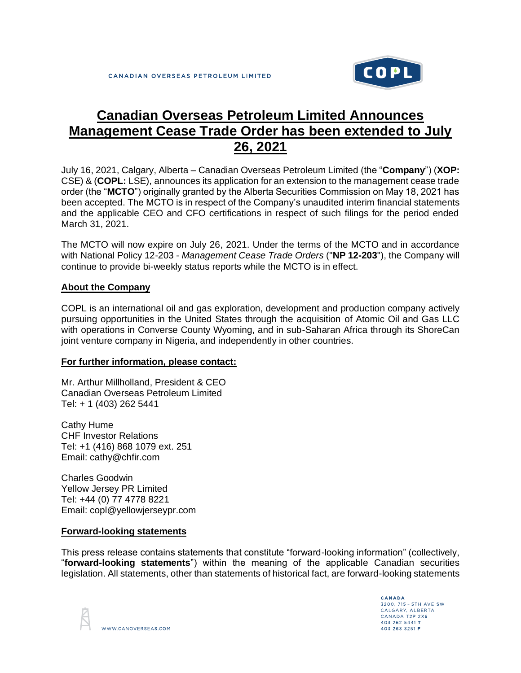

## **Canadian Overseas Petroleum Limited Announces Management Cease Trade Order has been extended to July 26, 2021**

July 16, 2021, Calgary, Alberta – Canadian Overseas Petroleum Limited (the "**Company**") (**XOP:** CSE) & (**COPL:** LSE), announces its application for an extension to the management cease trade order (the "**MCTO**") originally granted by the Alberta Securities Commission on May 18, 2021 has been accepted. The MCTO is in respect of the Company's unaudited interim financial statements and the applicable CEO and CFO certifications in respect of such filings for the period ended March 31, 2021.

The MCTO will now expire on July 26, 2021. Under the terms of the MCTO and in accordance with National Policy 12-203 - *Management Cease Trade Orders* ("**NP 12-203**"), the Company will continue to provide bi-weekly status reports while the MCTO is in effect.

## **About the Company**

COPL is an international oil and gas exploration, development and production company actively pursuing opportunities in the United States through the acquisition of Atomic Oil and Gas LLC with operations in Converse County Wyoming, and in sub-Saharan Africa through its ShoreCan joint venture company in Nigeria, and independently in other countries.

## **For further information, please contact:**

Mr. Arthur Millholland, President & CEO Canadian Overseas Petroleum Limited Tel: + 1 (403) 262 5441

Cathy Hume CHF Investor Relations Tel: +1 (416) 868 1079 ext. 251 Email: cathy@chfir.com

Charles Goodwin Yellow Jersey PR Limited Tel: +44 (0) 77 4778 8221 Email: copl@yellowjerseypr.com

## **Forward-looking statements**

This press release contains statements that constitute "forward-looking information" (collectively, "**forward-looking statements**") within the meaning of the applicable Canadian securities legislation. All statements, other than statements of historical fact, are forward-looking statements